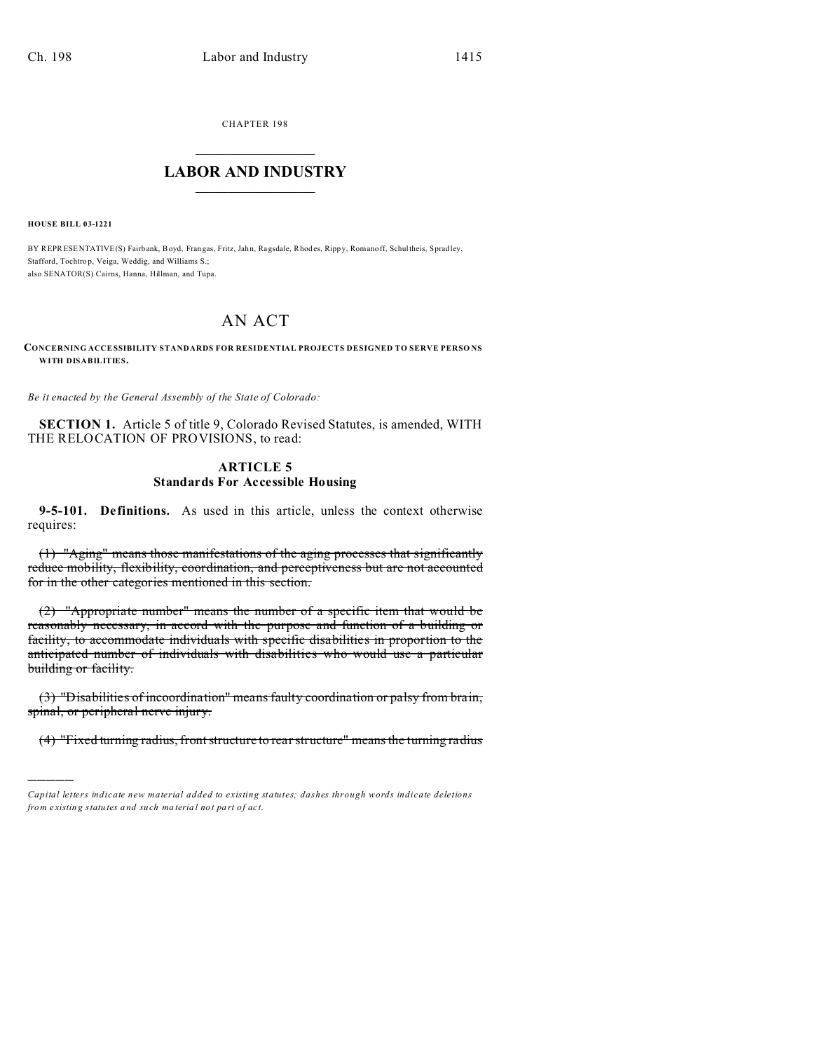CHAPTER 198  $\overline{\phantom{a}}$  , where  $\overline{\phantom{a}}$ 

## **LABOR AND INDUSTRY**  $\frac{1}{\sqrt{2}}$  ,  $\frac{1}{\sqrt{2}}$  ,  $\frac{1}{\sqrt{2}}$  ,  $\frac{1}{\sqrt{2}}$  ,  $\frac{1}{\sqrt{2}}$  ,  $\frac{1}{\sqrt{2}}$

**HOUSE BILL 03-1221**

)))))

BY REPRESENTATIVE(S) Fairb ank, Boyd, Frangas, Fritz, Jahn, Ragsdale, Rhod es, Ripp y, Romanoff, Schultheis, Spradley, Stafford, Tochtrop, Veiga, Weddig, and Williams S.; also SENATOR(S) Cairns, Hanna, Hillman, and Tupa.

## AN ACT

**CONCERNING ACCESSIBILITY STANDARDS FOR RESIDENTIAL PROJECTS DESIGNED TO SERVE PERSO NS WITH DISABILITIES.**

*Be it enacted by the General Assembly of the State of Colorado:*

**SECTION 1.** Article 5 of title 9, Colorado Revised Statutes, is amended, WITH THE RELOCATION OF PROVISIONS, to read:

## **ARTICLE 5 Standards For Accessible Housing**

**9-5-101. Definitions.** As used in this article, unless the context otherwise requires:

(1) "Aging" means those manifestations of the aging processes that significantly reduce mobility, flexibility, coordination, and perceptiveness but are not accounted for in the other categories mentioned in this section.

(2) "Appropriate number" means the number of a specific item that would be reasonably necessary, in accord with the purpose and function of a building or facility, to accommodate individuals with specific disabilities in proportion to the anticipated number of individuals with disabilities who would use a particular building or facility.

(3) "Disabilities of incoordination" means faulty coordination or palsy from brain, spinal, or peripheral nerve injury.

(4) "Fixed turning radius, front structure to rear structure" means the turning radius

*Capital letters indicate new material added to existing statutes; dashes through words indicate deletions from e xistin g statu tes a nd such ma teria l no t pa rt of ac t.*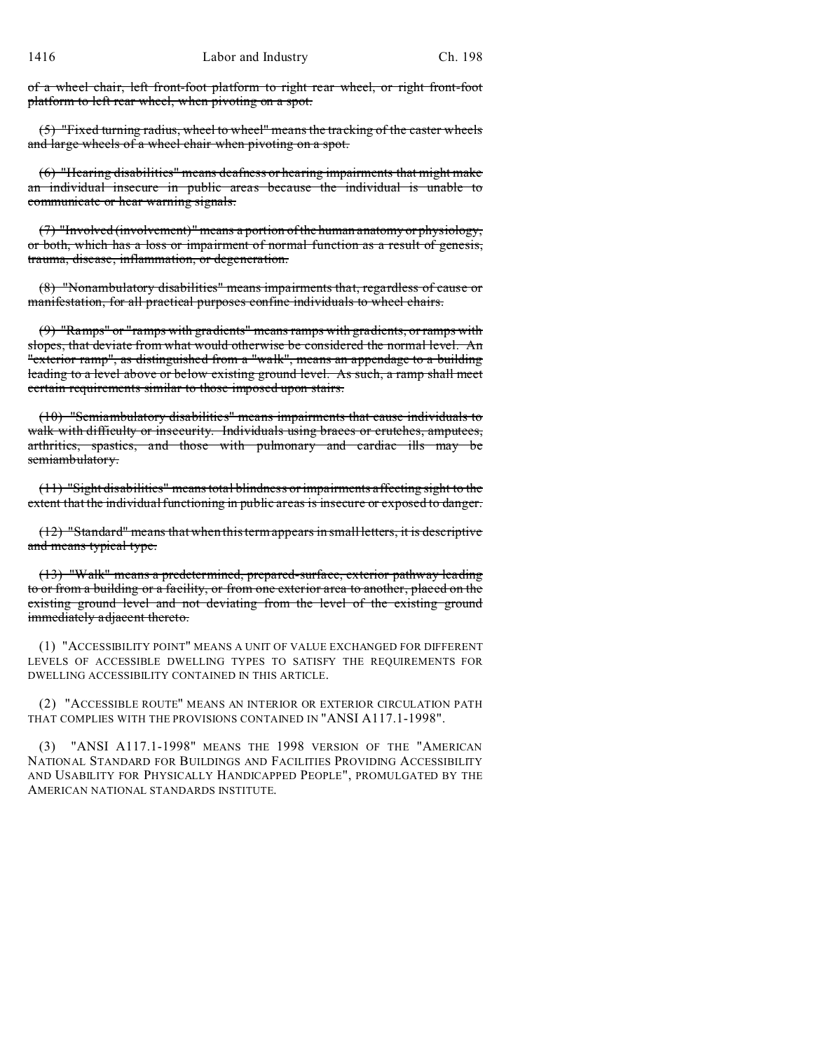of a wheel chair, left front-foot platform to right rear wheel, or right front-foot platform to left rear wheel, when pivoting on a spot.

(5) "Fixed turning radius, wheel to wheel" means the tracking of the caster wheels and large wheels of a wheel chair when pivoting on a spot.

(6) "Hearing disabilities" means deafness or hearing impairments that might make an individual insecure in public areas because the individual is unable to communicate or hear warning signals.

(7) "Involved (involvement)" means a portion of the human anatomy or physiology, or both, which has a loss or impairment of normal function as a result of genesis, trauma, disease, inflammation, or degeneration.

(8) "Nonambulatory disabilities" means impairments that, regardless of cause or manifestation, for all practical purposes confine individuals to wheel chairs.

(9) "Ramps" or "ramps with gradients" means ramps with gradients, or ramps with slopes, that deviate from what would otherwise be considered the normal level. An "exterior ramp", as distinguished from a "walk", means an appendage to a building leading to a level above or below existing ground level. As such, a ramp shall meet certain requirements similar to those imposed upon stairs.

(10) "Semiambulatory disabilities" means impairments that cause individuals to walk with difficulty or insecurity. Individuals using braces or crutches, amputees, arthritics, spastics, and those with pulmonary and cardiac ills may be semiambulatory.

(11) "Sight disabilities" means total blindness or impairments affecting sight to the extent that the individual functioning in public areas is insecure or exposed to danger.

(12) "Standard" means that when this term appears in small letters, it is descriptive and means typical type.

(13) "Walk" means a predetermined, prepared-surface, exterior pathway leading to or from a building or a facility, or from one exterior area to another, placed on the existing ground level and not deviating from the level of the existing ground immediately adjacent thereto.

(1) "ACCESSIBILITY POINT" MEANS A UNIT OF VALUE EXCHANGED FOR DIFFERENT LEVELS OF ACCESSIBLE DWELLING TYPES TO SATISFY THE REQUIREMENTS FOR DWELLING ACCESSIBILITY CONTAINED IN THIS ARTICLE.

(2) "ACCESSIBLE ROUTE" MEANS AN INTERIOR OR EXTERIOR CIRCULATION PATH THAT COMPLIES WITH THE PROVISIONS CONTAINED IN "ANSI A117.1-1998".

"ANSI A117.1-1998" MEANS THE 1998 VERSION OF THE "AMERICAN NATIONAL STANDARD FOR BUILDINGS AND FACILITIES PROVIDING ACCESSIBILITY AND USABILITY FOR PHYSICALLY HANDICAPPED PEOPLE", PROMULGATED BY THE AMERICAN NATIONAL STANDARDS INSTITUTE.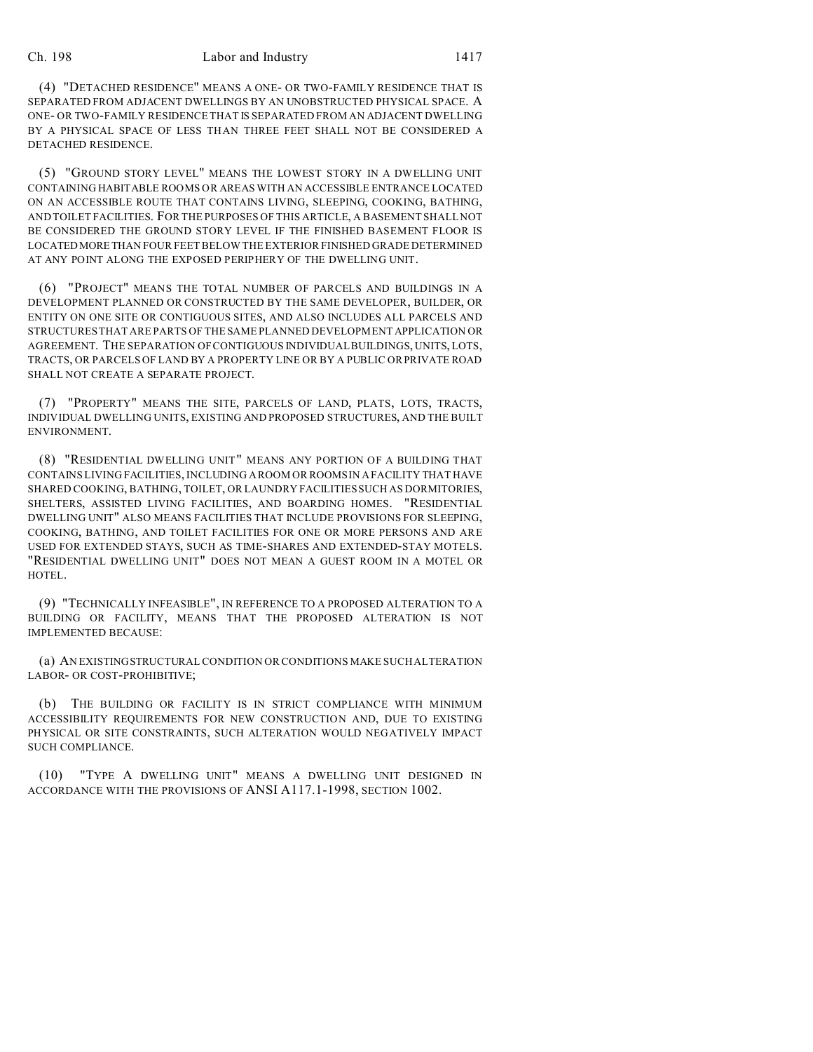## Ch. 198 Labor and Industry 1417

(4) "DETACHED RESIDENCE" MEANS A ONE- OR TWO-FAMILY RESIDENCE THAT IS SEPARATED FROM ADJACENT DWELLINGS BY AN UNOBSTRUCTED PHYSICAL SPACE. A ONE- OR TWO-FAMILY RESIDENCE THAT IS SEPARATED FROM AN ADJACENT DWELLING BY A PHYSICAL SPACE OF LESS THAN THREE FEET SHALL NOT BE CONSIDERED A DETACHED RESIDENCE.

(5) "GROUND STORY LEVEL" MEANS THE LOWEST STORY IN A DWELLING UNIT CONTAINING HABITABLE ROOMS OR AREAS WITH AN ACCESSIBLE ENTRANCE LOCATED ON AN ACCESSIBLE ROUTE THAT CONTAINS LIVING, SLEEPING, COOKING, BATHING, AND TOILET FACILITIES. FOR THE PURPOSES OF THIS ARTICLE, A BASEMENT SHALL NOT BE CONSIDERED THE GROUND STORY LEVEL IF THE FINISHED BASEMENT FLOOR IS LOCATEDMORETHAN FOUR FEET BELOW THE EXTERIOR FINISHED GRADE DETERMINED AT ANY POINT ALONG THE EXPOSED PERIPHERY OF THE DWELLING UNIT.

(6) "PROJECT" MEANS THE TOTAL NUMBER OF PARCELS AND BUILDINGS IN A DEVELOPMENT PLANNED OR CONSTRUCTED BY THE SAME DEVELOPER, BUILDER, OR ENTITY ON ONE SITE OR CONTIGUOUS SITES, AND ALSO INCLUDES ALL PARCELS AND STRUCTURES THAT ARE PARTS OF THE SAME PLANNED DEVELOPMENT APPLICATION OR AGREEMENT. THE SEPARATION OF CONTIGUOUS INDIVIDUAL BUILDINGS, UNITS, LOTS, TRACTS, OR PARCELS OF LAND BY A PROPERTY LINE OR BY A PUBLIC OR PRIVATE ROAD SHALL NOT CREATE A SEPARATE PROJECT.

(7) "PROPERTY" MEANS THE SITE, PARCELS OF LAND, PLATS, LOTS, TRACTS, INDIVIDUAL DWELLING UNITS, EXISTING AND PROPOSED STRUCTURES, AND THE BUILT ENVIRONMENT.

(8) "RESIDENTIAL DWELLING UNIT" MEANS ANY PORTION OF A BUILDING THAT CONTAINS LIVING FACILITIES, INCLUDING A ROOM OR ROOMS IN A FACILITY THAT HAVE SHARED COOKING, BATHING, TOILET, OR LAUNDRY FACILITIES SUCH AS DORMITORIES, SHELTERS, ASSISTED LIVING FACILITIES, AND BOARDING HOMES. "RESIDENTIAL DWELLING UNIT" ALSO MEANS FACILITIES THAT INCLUDE PROVISIONS FOR SLEEPING, COOKING, BATHING, AND TOILET FACILITIES FOR ONE OR MORE PERSONS AND ARE USED FOR EXTENDED STAYS, SUCH AS TIME-SHARES AND EXTENDED-STAY MOTELS. "RESIDENTIAL DWELLING UNIT" DOES NOT MEAN A GUEST ROOM IN A MOTEL OR HOTEL.

(9) "TECHNICALLY INFEASIBLE", IN REFERENCE TO A PROPOSED ALTERATION TO A BUILDING OR FACILITY, MEANS THAT THE PROPOSED ALTERATION IS NOT IMPLEMENTED BECAUSE:

(a) AN EXISTINGSTRUCTURAL CONDITION OR CONDITIONS MAKE SUCH ALTERATION LABOR- OR COST-PROHIBITIVE;

(b) THE BUILDING OR FACILITY IS IN STRICT COMPLIANCE WITH MINIMUM ACCESSIBILITY REQUIREMENTS FOR NEW CONSTRUCTION AND, DUE TO EXISTING PHYSICAL OR SITE CONSTRAINTS, SUCH ALTERATION WOULD NEGATIVELY IMPACT SUCH COMPLIANCE.

(10) "TYPE A DWELLING UNIT" MEANS A DWELLING UNIT DESIGNED IN ACCORDANCE WITH THE PROVISIONS OF ANSI A117.1-1998, SECTION 1002.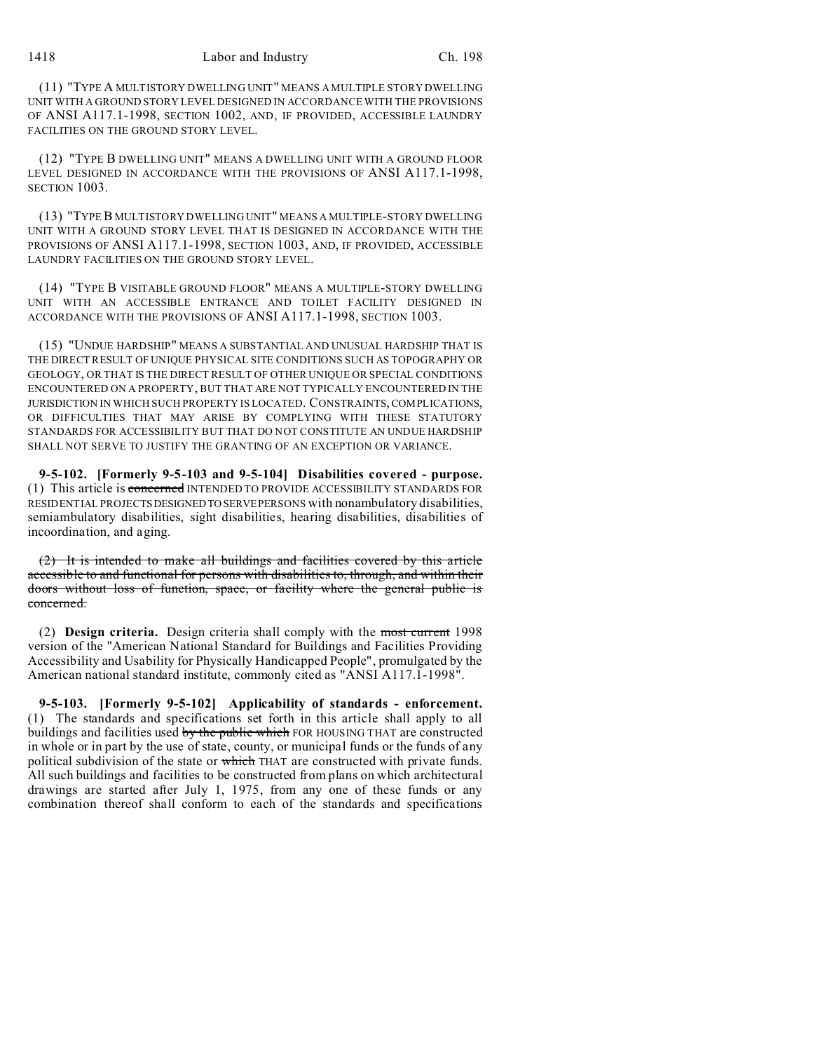(11) "TYPE A MULTISTORY DWELLING UNIT" MEANS A MULTIPLE STORY DWELLING UNIT WITH A GROUND STORY LEVEL DESIGNED IN ACCORDANCE WITH THE PROVISIONS OF ANSI A117.1-1998, SECTION 1002, AND, IF PROVIDED, ACCESSIBLE LAUNDRY FACILITIES ON THE GROUND STORY LEVEL.

(12) "TYPE B DWELLING UNIT" MEANS A DWELLING UNIT WITH A GROUND FLOOR LEVEL DESIGNED IN ACCORDANCE WITH THE PROVISIONS OF ANSI A117.1-1998, SECTION 1003

(13) "TYPE B MULTISTORY DWELLING UNIT" MEANS A MULTIPLE-STORY DWELLING UNIT WITH A GROUND STORY LEVEL THAT IS DESIGNED IN ACCORDANCE WITH THE PROVISIONS OF ANSI A117.1-1998, SECTION 1003, AND, IF PROVIDED, ACCESSIBLE LAUNDRY FACILITIES ON THE GROUND STORY LEVEL.

(14) "TYPE B VISITABLE GROUND FLOOR" MEANS A MULTIPLE-STORY DWELLING UNIT WITH AN ACCESSIBLE ENTRANCE AND TOILET FACILITY DESIGNED IN ACCORDANCE WITH THE PROVISIONS OF ANSI A117.1-1998, SECTION 1003.

(15) "UNDUE HARDSHIP" MEANS A SUBSTANTIAL AND UNUSUAL HARDSHIP THAT IS THE DIRECT RESULT OF UNIQUE PHYSICAL SITE CONDITIONS SUCH AS TOPOGRAPHY OR GEOLOGY, OR THAT IS THE DIRECT RESULT OF OTHER UNIQUE OR SPECIAL CONDITIONS ENCOUNTERED ON A PROPERTY, BUT THAT ARE NOT TYPICALLY ENCOUNTERED IN THE JURISDICTION IN WHICH SUCH PROPERTY IS LOCATED. CONSTRAINTS, COMPLICATIONS, OR DIFFICULTIES THAT MAY ARISE BY COMPLYING WITH THESE STATUTORY STANDARDS FOR ACCESSIBILITY BUT THAT DO NOT CONSTITUTE AN UNDUE HARDSHIP SHALL NOT SERVE TO JUSTIFY THE GRANTING OF AN EXCEPTION OR VARIANCE.

**9-5-102. [Formerly 9-5-103 and 9-5-104] Disabilities covered - purpose.** (1) This article is concerned INTENDED TO PROVIDE ACCESSIBILITY STANDARDS FOR RESIDENTIAL PROJECTSDESIGNEDTO SERVEPERSONS with nonambulatory disabilities, semiambulatory disabilities, sight disabilities, hearing disabilities, disabilities of incoordination, and aging.

(2) It is intended to make all buildings and facilities covered by this article accessible to and functional for persons with disabilities to, through, and within their doors without loss of function, space, or facility where the general public is concerned.

(2) **Design criteria.** Design criteria shall comply with the most current 1998 version of the "American National Standard for Buildings and Facilities Providing Accessibility and Usability for Physically Handicapped People", promulgated by the American national standard institute, commonly cited as "ANSI A117.1-1998".

**9-5-103. [Formerly 9-5-102] Applicability of standards - enforcement.** (1) The standards and specifications set forth in this article shall apply to all buildings and facilities used by the public which FOR HOUSING THAT are constructed in whole or in part by the use of state, county, or municipal funds or the funds of any political subdivision of the state or which THAT are constructed with private funds. All such buildings and facilities to be constructed from plans on which architectural drawings are started after July 1, 1975, from any one of these funds or any combination thereof shall conform to each of the standards and specifications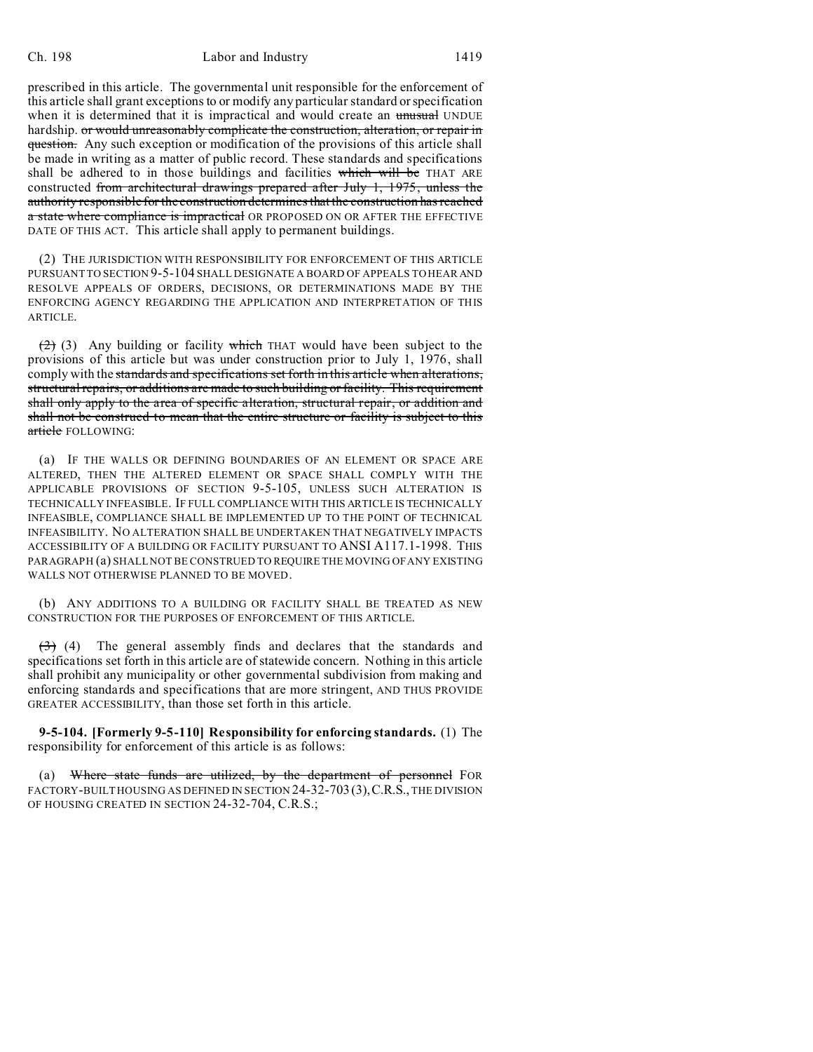prescribed in this article. The governmental unit responsible for the enforcement of this article shall grant exceptions to or modify any particular standard or specification when it is determined that it is impractical and would create an unusual UNDUE hardship. or would unreasonably complicate the construction, alteration, or repair in question. Any such exception or modification of the provisions of this article shall be made in writing as a matter of public record. These standards and specifications shall be adhered to in those buildings and facilities which will be THAT ARE constructed from architectural drawings prepared after July 1, 1975, unless the authority responsible for the construction determines that the construction has reached a state where compliance is impractical OR PROPOSED ON OR AFTER THE EFFECTIVE DATE OF THIS ACT. This article shall apply to permanent buildings.

(2) THE JURISDICTION WITH RESPONSIBILITY FOR ENFORCEMENT OF THIS ARTICLE PURSUANT TO SECTION 9-5-104 SHALL DESIGNATE A BOARD OF APPEALS TO HEAR AND RESOLVE APPEALS OF ORDERS, DECISIONS, OR DETERMINATIONS MADE BY THE ENFORCING AGENCY REGARDING THE APPLICATION AND INTERPRETATION OF THIS ARTICLE.

 $(2)$  (3) Any building or facility which THAT would have been subject to the provisions of this article but was under construction prior to July 1, 1976, shall comply with the standards and specifications set forth in this article when alterations, structural repairs, or additions are made to such building or facility. This requirement shall only apply to the area of specific alteration, structural repair, or addition and shall not be construed to mean that the entire structure or facility is subject to this article FOLLOWING:

(a) IF THE WALLS OR DEFINING BOUNDARIES OF AN ELEMENT OR SPACE ARE ALTERED, THEN THE ALTERED ELEMENT OR SPACE SHALL COMPLY WITH THE APPLICABLE PROVISIONS OF SECTION 9-5-105, UNLESS SUCH ALTERATION IS TECHNICALLY INFEASIBLE. IF FULL COMPLIANCE WITH THIS ARTICLE IS TECHNICALLY INFEASIBLE, COMPLIANCE SHALL BE IMPLEMENTED UP TO THE POINT OF TECHNICAL INFEASIBILITY. NO ALTERATION SHALL BE UNDERTAKEN THAT NEGATIVELY IMPACTS ACCESSIBILITY OF A BUILDING OR FACILITY PURSUANT TO ANSI A117.1-1998. THIS PARAGRAPH (a) SHALL NOT BE CONSTRUED TO REQUIRE THE MOVING OF ANY EXISTING WALLS NOT OTHERWISE PLANNED TO BE MOVED.

(b) ANY ADDITIONS TO A BUILDING OR FACILITY SHALL BE TREATED AS NEW CONSTRUCTION FOR THE PURPOSES OF ENFORCEMENT OF THIS ARTICLE.

 $(3)$  (4) The general assembly finds and declares that the standards and specifications set forth in this article are of statewide concern. Nothing in this article shall prohibit any municipality or other governmental subdivision from making and enforcing standards and specifications that are more stringent, AND THUS PROVIDE GREATER ACCESSIBILITY, than those set forth in this article.

**9-5-104. [Formerly 9-5-110] Responsibility for enforcing standards.** (1) The responsibility for enforcement of this article is as follows:

(a) Where state funds are utilized, by the department of personnel FOR FACTORY-BUILT HOUSING AS DEFINED IN SECTION 24-32-703 (3),C.R.S., THE DIVISION OF HOUSING CREATED IN SECTION 24-32-704, C.R.S.;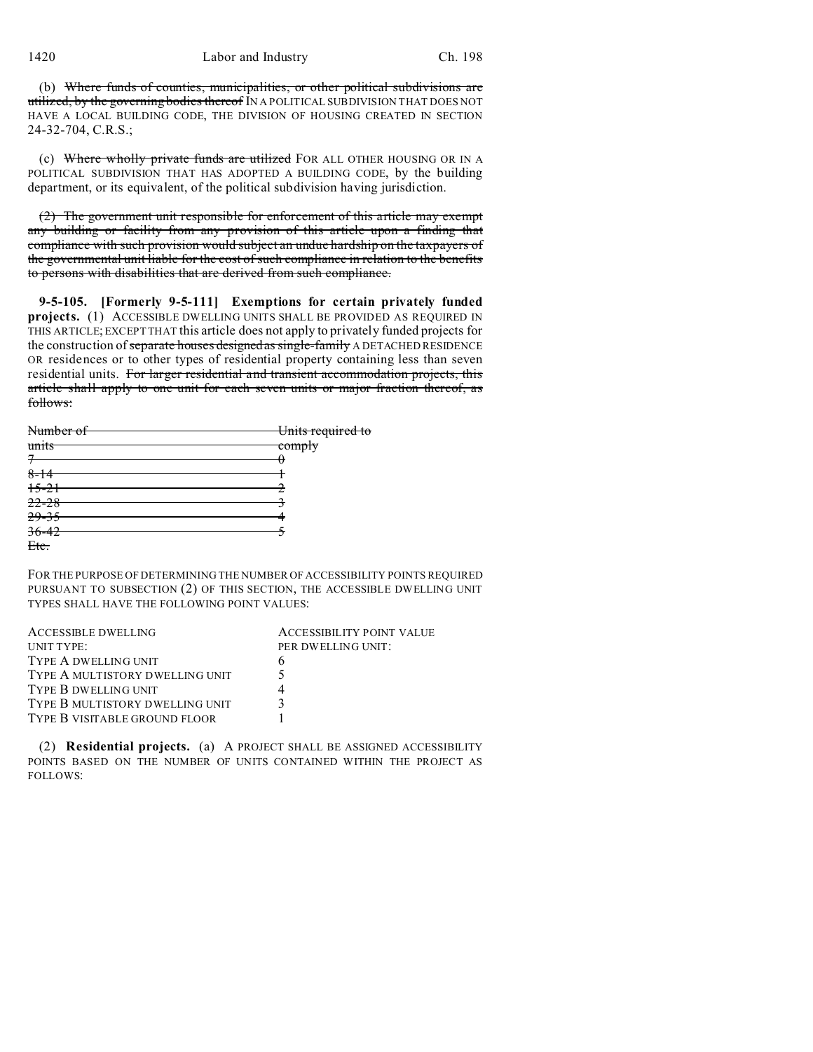(b) Where funds of counties, municipalities, or other political subdivisions are utilized, by the governing bodies thereof IN A POLITICAL SUBDIVISION THAT DOES NOT HAVE A LOCAL BUILDING CODE, THE DIVISION OF HOUSING CREATED IN SECTION 24-32-704, C.R.S.;

(c) Where wholly private funds are utilized FOR ALL OTHER HOUSING OR IN A POLITICAL SUBDIVISION THAT HAS ADOPTED A BUILDING CODE, by the building department, or its equivalent, of the political subdivision having jurisdiction.

(2) The government unit responsible for enforcement of this article may exempt any building or facility from any provision of this article upon a finding that compliance with such provision would subject an undue hardship on the taxpayers of the governmental unit liable for the cost of such compliance in relation to the benefits to persons with disabilities that are derived from such compliance.

**9-5-105. [Formerly 9-5-111] Exemptions for certain privately funded projects.** (1) ACCESSIBLE DWELLING UNITS SHALL BE PROVIDED AS REQUIRED IN THIS ARTICLE; EXCEPT THAT this article does not apply to privately funded projects for the construction of separate houses designed as single-family A DETACHED RESIDENCE OR residences or to other types of residential property containing less than seven residential units. For larger residential and transient accommodation projects, this article shall apply to one unit for each seven units or major fraction thereof, as follows:

| Number of | Units required to |
|-----------|-------------------|
|           |                   |
| units     | <del>comply</del> |
|           |                   |
| $8 - 14$  |                   |
| $15 - 21$ |                   |
| $22 - 28$ |                   |
| $29 - 35$ |                   |
| $36 - 42$ |                   |
| Etc.      |                   |

FOR THE PURPOSE OF DETERMINING THE NUMBER OF ACCESSIBILITY POINTS REQUIRED PURSUANT TO SUBSECTION (2) OF THIS SECTION, THE ACCESSIBLE DWELLING UNIT TYPES SHALL HAVE THE FOLLOWING POINT VALUES:

| <b>ACCESSIBLE DWELLING</b>      | <b>ACCESSIBILITY POINT VALUE</b> |
|---------------------------------|----------------------------------|
| UNIT TYPE:                      | PER DWELLING UNIT:               |
| TYPE A DWELLING UNIT            |                                  |
| TYPE A MULTISTORY DWELLING UNIT |                                  |
| TYPE B DWELLING UNIT            |                                  |
| TYPE B MULTISTORY DWELLING UNIT |                                  |
| TYPE B VISITABLE GROUND FLOOR   |                                  |

(2) **Residential projects.** (a) A PROJECT SHALL BE ASSIGNED ACCESSIBILITY POINTS BASED ON THE NUMBER OF UNITS CONTAINED WITHIN THE PROJECT AS FOLLOWS: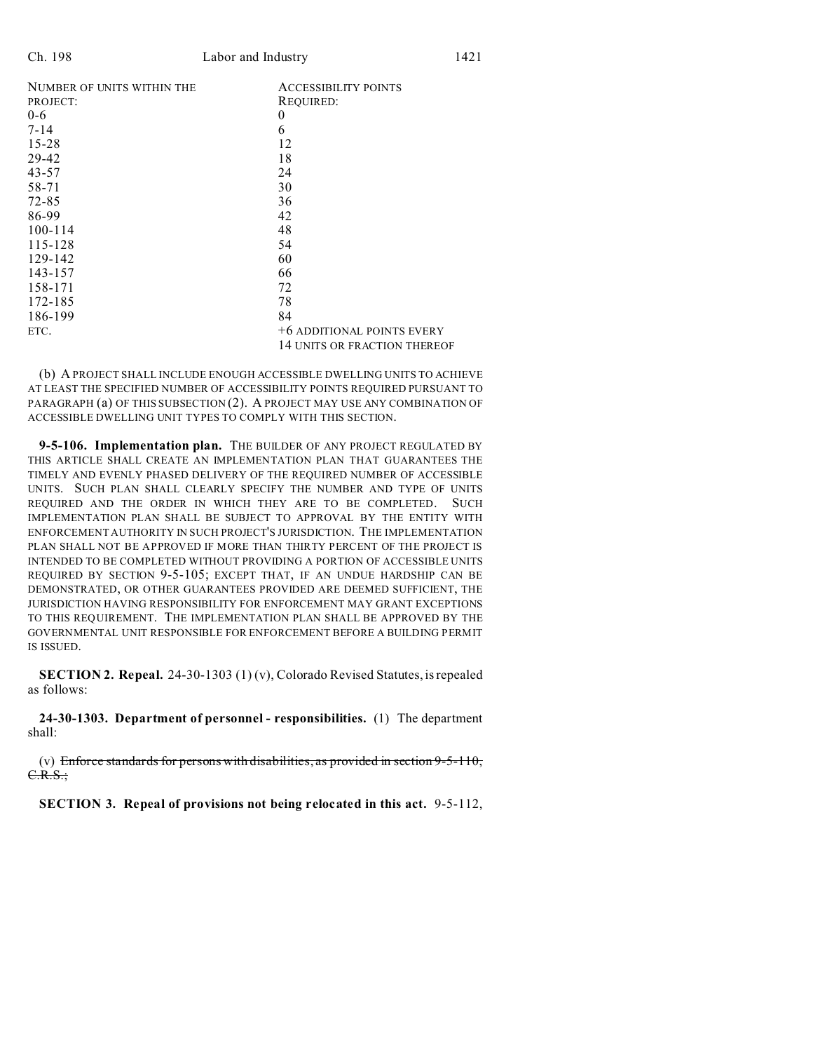| NUMBER OF UNITS WITHIN THE | <b>ACCESSIBILITY POINTS</b>  |
|----------------------------|------------------------------|
| PROJECT:                   | REQUIRED:                    |
| 0-6                        | $\boldsymbol{0}$             |
| 7-14                       | 6                            |
| 15-28                      | 12                           |
| 29-42                      | 18                           |
| 43-57                      | 24                           |
| 58-71                      | 30                           |
| 72-85                      | 36                           |
| 86-99                      | 42                           |
| 100-114                    | 48                           |
| 115-128                    | 54                           |
| 129-142                    | 60                           |
| 143-157                    | 66                           |
| 158-171                    | 72                           |
| 172-185                    | 78                           |
| 186-199                    | 84                           |
| ETC.                       | +6 ADDITIONAL POINTS EVERY   |
|                            | 14 UNITS OR FRACTION THEREOF |
|                            |                              |

(b) A PROJECT SHALL INCLUDE ENOUGH ACCESSIBLE DWELLING UNITS TO ACHIEVE AT LEAST THE SPECIFIED NUMBER OF ACCESSIBILITY POINTS REQUIRED PURSUANT TO PARAGRAPH (a) OF THIS SUBSECTION (2). A PROJECT MAY USE ANY COMBINATION OF ACCESSIBLE DWELLING UNIT TYPES TO COMPLY WITH THIS SECTION.

**9-5-106. Implementation plan.** THE BUILDER OF ANY PROJECT REGULATED BY THIS ARTICLE SHALL CREATE AN IMPLEMENTATION PLAN THAT GUARANTEES THE TIMELY AND EVENLY PHASED DELIVERY OF THE REQUIRED NUMBER OF ACCESSIBLE UNITS. SUCH PLAN SHALL CLEARLY SPECIFY THE NUMBER AND TYPE OF UNITS REQUIRED AND THE ORDER IN WHICH THEY ARE TO BE COMPLETED. SUCH IMPLEMENTATION PLAN SHALL BE SUBJECT TO APPROVAL BY THE ENTITY WITH ENFORCEMENT AUTHORITY IN SUCH PROJECT'S JURISDICTION. THE IMPLEMENTATION PLAN SHALL NOT BE APPROVED IF MORE THAN THIRTY PERCENT OF THE PROJECT IS INTENDED TO BE COMPLETED WITHOUT PROVIDING A PORTION OF ACCESSIBLE UNITS REQUIRED BY SECTION 9-5-105; EXCEPT THAT, IF AN UNDUE HARDSHIP CAN BE DEMONSTRATED, OR OTHER GUARANTEES PROVIDED ARE DEEMED SUFFICIENT, THE JURISDICTION HAVING RESPONSIBILITY FOR ENFORCEMENT MAY GRANT EXCEPTIONS TO THIS REQUIREMENT. THE IMPLEMENTATION PLAN SHALL BE APPROVED BY THE GOVERNMENTAL UNIT RESPONSIBLE FOR ENFORCEMENT BEFORE A BUILDING PERMIT IS ISSUED.

**SECTION 2. Repeal.** 24-30-1303 (1) (v), Colorado Revised Statutes, is repealed as follows:

**24-30-1303. Department of personnel - responsibilities.** (1) The department shall:

(v) Enforce standards for persons with disabilities, as provided in section  $9-5-110$ ,  $C.R.S.;$ 

**SECTION 3. Repeal of provisions not being relocated in this act.** 9-5-112,